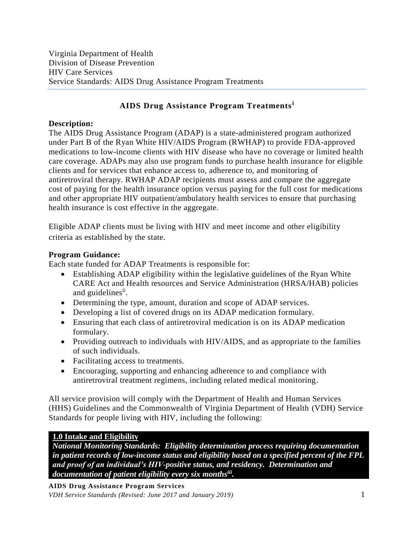# **AIDS Drug Assistance Program Treatments<sup>i</sup>**

#### **Description:**

The AIDS Drug Assistance Program (ADAP) is a state-administered program authorized under Part B of the Ryan White HIV/AIDS Program (RWHAP) to provide FDA-approved medications to low-income clients with HIV disease who have no coverage or limited health care coverage. ADAPs may also use program funds to purchase health insurance for eligible clients and for services that enhance access to, adherence to, and monitoring of antiretroviral therapy. RWHAP ADAP recipients must assess and compare the aggregate cost of paying for the health insurance option versus paying for the full cost for medications and other appropriate HIV outpatient/ambulatory health services to ensure that purchasing health insurance is cost effective in the aggregate.

Eligible ADAP clients must be living with HIV and meet income and other eligibility criteria as established by the state.

#### **Program Guidance:**

Each state funded for ADAP Treatments is responsible for:

- Establishing ADAP eligibility within the legislative guidelines of the Ryan White CARE Act and Health resources and Service Administration (HRSA/HAB) policies and guidelines<sup>ii</sup>.
- Determining the type, amount, duration and scope of ADAP services.
- Developing a list of covered drugs on its ADAP medication formulary.
- Ensuring that each class of antiretroviral medication is on its ADAP medication formulary.
- Providing outreach to individuals with HIV/AIDS, and as appropriate to the families of such individuals.
- Facilitating access to treatments.
- Encouraging, supporting and enhancing adherence to and compliance with antiretroviral treatment regimens, including related medical monitoring.

All service provision will comply with the Department of Health and Human Services (HHS) Guidelines and the Commonwealth of Virginia Department of Health (VDH) Service Standards for people living with HIV, including the following:

#### **1.0 Intake and Eligibility**

*National Monitoring Standards: Eligibility determination process requiring documentation in patient records of low-income status and eligibility based on a specified percent of the FPL and proof of an individual's HIV-positive status, and residency. Determination and documentation of patient eligibility every six monthsiii .*

**AIDS Drug Assistance Program Services** *VDH Service Standards (Revised: June 2017 and January 2019)* 1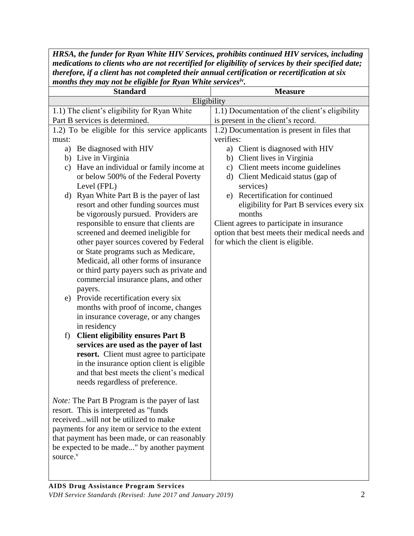*HRSA, the funder for Ryan White HIV Services, prohibits continued HIV services, including medications to clients who are not recertified for eligibility of services by their specified date; therefore, if a client has not completed their annual certification or recertification at six months they may not be eligible for Ryan White servicesiv .*

| <b>Standard</b>                                                                          | <b>Measure</b>                                  |
|------------------------------------------------------------------------------------------|-------------------------------------------------|
| Eligibility                                                                              |                                                 |
| 1.1) The client's eligibility for Ryan White                                             | 1.1) Documentation of the client's eligibility  |
| Part B services is determined.                                                           | is present in the client's record.              |
| 1.2) To be eligible for this service applicants                                          | 1.2) Documentation is present in files that     |
| must:                                                                                    | verifies:                                       |
| a) Be diagnosed with HIV                                                                 | a) Client is diagnosed with HIV                 |
| b) Live in Virginia                                                                      | Client lives in Virginia<br>b)                  |
| Have an individual or family income at<br>c)                                             | Client meets income guidelines<br>$\mathbf{c})$ |
| or below 500% of the Federal Poverty                                                     | d) Client Medicaid status (gap of               |
| Level (FPL)                                                                              | services)                                       |
| d) Ryan White Part B is the payer of last                                                | e) Recertification for continued                |
| resort and other funding sources must                                                    | eligibility for Part B services every six       |
| be vigorously pursued. Providers are                                                     | months                                          |
| responsible to ensure that clients are                                                   | Client agrees to participate in insurance       |
| screened and deemed ineligible for                                                       | option that best meets their medical needs and  |
| other payer sources covered by Federal                                                   | for which the client is eligible.               |
| or State programs such as Medicare,                                                      |                                                 |
| Medicaid, all other forms of insurance                                                   |                                                 |
| or third party payers such as private and                                                |                                                 |
| commercial insurance plans, and other                                                    |                                                 |
| payers.                                                                                  |                                                 |
| e) Provide recertification every six                                                     |                                                 |
| months with proof of income, changes                                                     |                                                 |
| in insurance coverage, or any changes                                                    |                                                 |
| in residency                                                                             |                                                 |
| <b>Client eligibility ensures Part B</b><br>f)<br>services are used as the payer of last |                                                 |
| resort. Client must agree to participate                                                 |                                                 |
| in the insurance option client is eligible                                               |                                                 |
| and that best meets the client's medical                                                 |                                                 |
| needs regardless of preference.                                                          |                                                 |
|                                                                                          |                                                 |
| <i>Note:</i> The Part B Program is the payer of last                                     |                                                 |
| resort. This is interpreted as "funds                                                    |                                                 |
| receivedwill not be utilized to make                                                     |                                                 |
| payments for any item or service to the extent                                           |                                                 |
| that payment has been made, or can reasonably                                            |                                                 |
| be expected to be made" by another payment                                               |                                                 |
| source. <sup>v</sup>                                                                     |                                                 |
|                                                                                          |                                                 |
|                                                                                          |                                                 |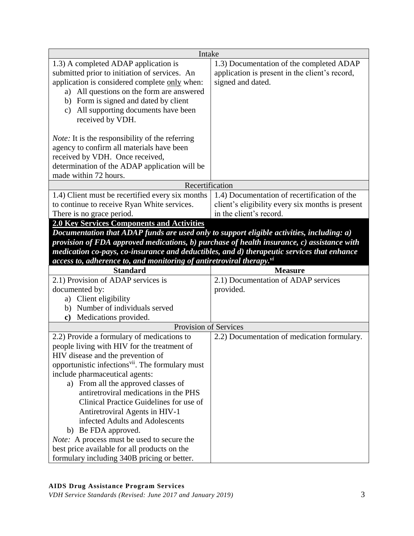| Intake                                                                                              |                                                  |
|-----------------------------------------------------------------------------------------------------|--------------------------------------------------|
| 1.3) A completed ADAP application is                                                                | 1.3) Documentation of the completed ADAP         |
| submitted prior to initiation of services. An                                                       | application is present in the client's record,   |
| application is considered complete only when:                                                       | signed and dated.                                |
| a) All questions on the form are answered                                                           |                                                  |
| b) Form is signed and dated by client                                                               |                                                  |
| All supporting documents have been<br>$\mathbf{c})$                                                 |                                                  |
| received by VDH.                                                                                    |                                                  |
|                                                                                                     |                                                  |
| <i>Note:</i> It is the responsibility of the referring                                              |                                                  |
| agency to confirm all materials have been                                                           |                                                  |
| received by VDH. Once received,                                                                     |                                                  |
| determination of the ADAP application will be                                                       |                                                  |
| made within 72 hours.                                                                               |                                                  |
| Recertification                                                                                     |                                                  |
| 1.4) Client must be recertified every six months                                                    | 1.4) Documentation of recertification of the     |
| to continue to receive Ryan White services.                                                         | client's eligibility every six months is present |
| There is no grace period.                                                                           | in the client's record.                          |
| <b>2.0 Key Services Components and Activities</b>                                                   |                                                  |
| Documentation that ADAP funds are used only to support eligible activities, including: a)           |                                                  |
| provision of FDA approved medications, b) purchase of health insurance, c) assistance with          |                                                  |
| medication co-pays, co-insurance and deductibles, and d) therapeutic services that enhance          |                                                  |
|                                                                                                     |                                                  |
|                                                                                                     |                                                  |
| access to, adherence to, and monitoring of antiretroviral therapy. <sup>vi</sup><br><b>Standard</b> | <b>Measure</b>                                   |
| 2.1) Provision of ADAP services is                                                                  | 2.1) Documentation of ADAP services              |
| documented by:                                                                                      | provided.                                        |
| a) Client eligibility                                                                               |                                                  |
| b) Number of individuals served                                                                     |                                                  |
| Medications provided.<br>c)                                                                         |                                                  |
| Provision of Services                                                                               |                                                  |
| 2.2) Provide a formulary of medications to                                                          | 2.2) Documentation of medication formulary.      |
| people living with HIV for the treatment of                                                         |                                                  |
| HIV disease and the prevention of                                                                   |                                                  |
| opportunistic infections <sup>vii</sup> . The formulary must                                        |                                                  |
| include pharmaceutical agents:                                                                      |                                                  |
| a) From all the approved classes of                                                                 |                                                  |
| antiretroviral medications in the PHS                                                               |                                                  |
| Clinical Practice Guidelines for use of                                                             |                                                  |
| Antiretroviral Agents in HIV-1                                                                      |                                                  |
| infected Adults and Adolescents                                                                     |                                                  |
| b) Be FDA approved.                                                                                 |                                                  |
| <i>Note:</i> A process must be used to secure the                                                   |                                                  |
| best price available for all products on the                                                        |                                                  |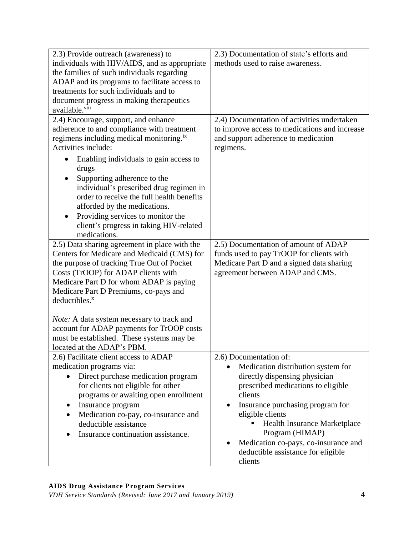| 2.3) Provide outreach (awareness) to                 | 2.3) Documentation of state's efforts and     |
|------------------------------------------------------|-----------------------------------------------|
| individuals with HIV/AIDS, and as appropriate        | methods used to raise awareness.              |
| the families of such individuals regarding           |                                               |
| ADAP and its programs to facilitate access to        |                                               |
| treatments for such individuals and to               |                                               |
| document progress in making therapeutics             |                                               |
| available. <sup>viii</sup>                           |                                               |
| 2.4) Encourage, support, and enhance                 | 2.4) Documentation of activities undertaken   |
| adherence to and compliance with treatment           | to improve access to medications and increase |
| regimens including medical monitoring. <sup>ix</sup> | and support adherence to medication           |
| Activities include:                                  | regimens.                                     |
| Enabling individuals to gain access to               |                                               |
| drugs                                                |                                               |
| Supporting adherence to the                          |                                               |
| individual's prescribed drug regimen in              |                                               |
| order to receive the full health benefits            |                                               |
| afforded by the medications.                         |                                               |
| Providing services to monitor the                    |                                               |
| client's progress in taking HIV-related              |                                               |
| medications.                                         |                                               |
| 2.5) Data sharing agreement in place with the        | 2.5) Documentation of amount of ADAP          |
| Centers for Medicare and Medicaid (CMS) for          | funds used to pay TrOOP for clients with      |
| the purpose of tracking True Out of Pocket           | Medicare Part D and a signed data sharing     |
| Costs (TrOOP) for ADAP clients with                  | agreement between ADAP and CMS.               |
| Medicare Part D for whom ADAP is paying              |                                               |
| Medicare Part D Premiums, co-pays and                |                                               |
| deductibles. <sup>x</sup>                            |                                               |
|                                                      |                                               |
| <i>Note:</i> A data system necessary to track and    |                                               |
| account for ADAP payments for TrOOP costs            |                                               |
| must be established. These systems may be            |                                               |
| located at the ADAP's PBM.                           |                                               |
| 2.6) Facilitate client access to ADAP                | 2.6) Documentation of:                        |
| medication programs via:                             | Medication distribution system for            |
| Direct purchase medication program<br>$\bullet$      | directly dispensing physician                 |
| for clients not eligible for other                   | prescribed medications to eligible            |
| programs or awaiting open enrollment                 | clients                                       |
| Insurance program                                    | Insurance purchasing program for              |
| Medication co-pay, co-insurance and                  | eligible clients                              |
| deductible assistance                                | <b>Health Insurance Marketplace</b>           |
| Insurance continuation assistance.                   | Program (HIMAP)                               |
|                                                      | Medication co-pays, co-insurance and          |
|                                                      | deductible assistance for eligible            |
|                                                      | clients                                       |

### **AIDS Drug Assistance Program Services**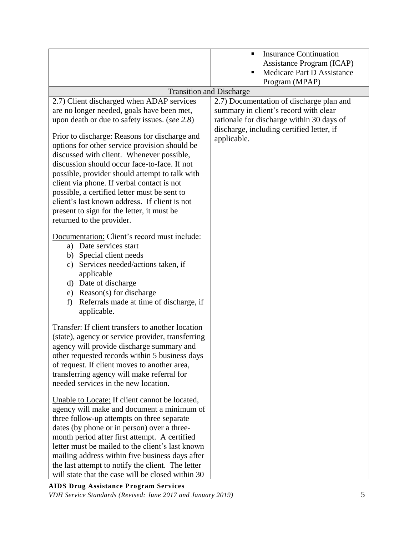|                                                                                                                                                                                                                                                                                                                                                                                                                                                                                                                                                                                                                                                                     | <b>Insurance Continuation</b><br>٠<br>Assistance Program (ICAP)<br>Medicare Part D Assistance<br>п<br>Program (MPAP)                                                                       |
|---------------------------------------------------------------------------------------------------------------------------------------------------------------------------------------------------------------------------------------------------------------------------------------------------------------------------------------------------------------------------------------------------------------------------------------------------------------------------------------------------------------------------------------------------------------------------------------------------------------------------------------------------------------------|--------------------------------------------------------------------------------------------------------------------------------------------------------------------------------------------|
| <b>Transition and Discharge</b>                                                                                                                                                                                                                                                                                                                                                                                                                                                                                                                                                                                                                                     |                                                                                                                                                                                            |
| 2.7) Client discharged when ADAP services<br>are no longer needed, goals have been met,<br>upon death or due to safety issues. (see 2.8)<br>Prior to discharge: Reasons for discharge and<br>options for other service provision should be<br>discussed with client. Whenever possible,<br>discussion should occur face-to-face. If not<br>possible, provider should attempt to talk with<br>client via phone. If verbal contact is not<br>possible, a certified letter must be sent to<br>client's last known address. If client is not<br>present to sign for the letter, it must be<br>returned to the provider.<br>Documentation: Client's record must include: | 2.7) Documentation of discharge plan and<br>summary in client's record with clear<br>rationale for discharge within 30 days of<br>discharge, including certified letter, if<br>applicable. |
| a) Date services start<br>b) Special client needs<br>Services needed/actions taken, if<br>c)<br>applicable<br>d) Date of discharge<br>e) Reason(s) for discharge<br>Referrals made at time of discharge, if<br>f)<br>applicable.                                                                                                                                                                                                                                                                                                                                                                                                                                    |                                                                                                                                                                                            |
| Transfer: If client transfers to another location<br>(state), agency or service provider, transferring<br>agency will provide discharge summary and<br>other requested records within 5 business days<br>of request. If client moves to another area,<br>transferring agency will make referral for<br>needed services in the new location.                                                                                                                                                                                                                                                                                                                         |                                                                                                                                                                                            |
| Unable to Locate: If client cannot be located,<br>agency will make and document a minimum of<br>three follow-up attempts on three separate<br>dates (by phone or in person) over a three-<br>month period after first attempt. A certified<br>letter must be mailed to the client's last known<br>mailing address within five business days after<br>the last attempt to notify the client. The letter<br>will state that the case will be closed within 30                                                                                                                                                                                                         |                                                                                                                                                                                            |

**AIDS Drug Assistance Program Services** *VDH Service Standards (Revised: June 2017 and January 2019)* 5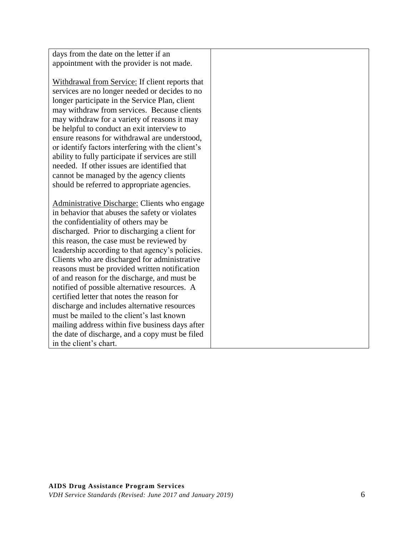| days from the date on the letter if an             |  |
|----------------------------------------------------|--|
| appointment with the provider is not made.         |  |
|                                                    |  |
| Withdrawal from Service: If client reports that    |  |
| services are no longer needed or decides to no     |  |
| longer participate in the Service Plan, client     |  |
| may withdraw from services. Because clients        |  |
| may withdraw for a variety of reasons it may       |  |
| be helpful to conduct an exit interview to         |  |
| ensure reasons for withdrawal are understood,      |  |
| or identify factors interfering with the client's  |  |
| ability to fully participate if services are still |  |
| needed. If other issues are identified that        |  |
| cannot be managed by the agency clients            |  |
| should be referred to appropriate agencies.        |  |
| Administrative Discharge: Clients who engage       |  |
| in behavior that abuses the safety or violates     |  |
| the confidentiality of others may be               |  |
| discharged. Prior to discharging a client for      |  |
| this reason, the case must be reviewed by          |  |
| leadership according to that agency's policies.    |  |
| Clients who are discharged for administrative      |  |
| reasons must be provided written notification      |  |
| of and reason for the discharge, and must be       |  |
| notified of possible alternative resources. A      |  |
| certified letter that notes the reason for         |  |
| discharge and includes alternative resources       |  |
| must be mailed to the client's last known          |  |
| mailing address within five business days after    |  |
| the date of discharge, and a copy must be filed    |  |
| in the client's chart.                             |  |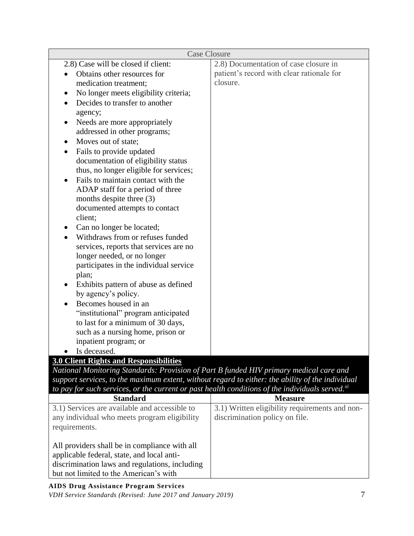| <b>Case Closure</b>                                                                                                                                                                                             |                                                |
|-----------------------------------------------------------------------------------------------------------------------------------------------------------------------------------------------------------------|------------------------------------------------|
| 2.8) Case will be closed if client:                                                                                                                                                                             | 2.8) Documentation of case closure in          |
| Obtains other resources for                                                                                                                                                                                     | patient's record with clear rationale for      |
| medication treatment;                                                                                                                                                                                           | closure.                                       |
| No longer meets eligibility criteria;<br>٠                                                                                                                                                                      |                                                |
| Decides to transfer to another                                                                                                                                                                                  |                                                |
| agency;                                                                                                                                                                                                         |                                                |
| Needs are more appropriately                                                                                                                                                                                    |                                                |
| addressed in other programs;                                                                                                                                                                                    |                                                |
| Moves out of state;                                                                                                                                                                                             |                                                |
| Fails to provide updated                                                                                                                                                                                        |                                                |
| documentation of eligibility status                                                                                                                                                                             |                                                |
| thus, no longer eligible for services;                                                                                                                                                                          |                                                |
| Fails to maintain contact with the                                                                                                                                                                              |                                                |
| ADAP staff for a period of three                                                                                                                                                                                |                                                |
| months despite three (3)                                                                                                                                                                                        |                                                |
| documented attempts to contact                                                                                                                                                                                  |                                                |
| client;                                                                                                                                                                                                         |                                                |
| Can no longer be located;                                                                                                                                                                                       |                                                |
| Withdraws from or refuses funded                                                                                                                                                                                |                                                |
| services, reports that services are no                                                                                                                                                                          |                                                |
| longer needed, or no longer                                                                                                                                                                                     |                                                |
| participates in the individual service                                                                                                                                                                          |                                                |
| plan;                                                                                                                                                                                                           |                                                |
| Exhibits pattern of abuse as defined                                                                                                                                                                            |                                                |
| by agency's policy.                                                                                                                                                                                             |                                                |
| Becomes housed in an                                                                                                                                                                                            |                                                |
| "institutional" program anticipated                                                                                                                                                                             |                                                |
| to last for a minimum of 30 days,                                                                                                                                                                               |                                                |
| such as a nursing home, prison or                                                                                                                                                                               |                                                |
| inpatient program; or                                                                                                                                                                                           |                                                |
| Is deceased.                                                                                                                                                                                                    |                                                |
| <b>3.0 Client Rights and Responsibilities</b>                                                                                                                                                                   |                                                |
| National Monitoring Standards: Provision of Part B funded HIV primary medical care and                                                                                                                          |                                                |
| support services, to the maximum extent, without regard to either: the ability of the individual<br>to pay for such services, or the current or past health conditions of the individuals served. <sup>xi</sup> |                                                |
| <b>Standard</b>                                                                                                                                                                                                 | <b>Measure</b>                                 |
| 3.1) Services are available and accessible to                                                                                                                                                                   | 3.1) Written eligibility requirements and non- |
| any individual who meets program eligibility                                                                                                                                                                    | discrimination policy on file.                 |
| requirements.                                                                                                                                                                                                   |                                                |
|                                                                                                                                                                                                                 |                                                |
| All providers shall be in compliance with all                                                                                                                                                                   |                                                |
| applicable federal, state, and local anti-                                                                                                                                                                      |                                                |
| discrimination laws and regulations, including                                                                                                                                                                  |                                                |

but not limited to the American's with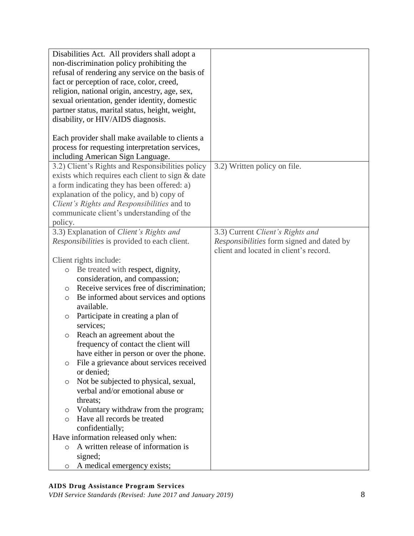| Disabilities Act. All providers shall adopt a       |                                           |
|-----------------------------------------------------|-------------------------------------------|
| non-discrimination policy prohibiting the           |                                           |
| refusal of rendering any service on the basis of    |                                           |
| fact or perception of race, color, creed,           |                                           |
| religion, national origin, ancestry, age, sex,      |                                           |
| sexual orientation, gender identity, domestic       |                                           |
| partner status, marital status, height, weight,     |                                           |
| disability, or HIV/AIDS diagnosis.                  |                                           |
|                                                     |                                           |
| Each provider shall make available to clients a     |                                           |
| process for requesting interpretation services,     |                                           |
| including American Sign Language.                   |                                           |
| 3.2) Client's Rights and Responsibilities policy    | 3.2) Written policy on file.              |
| exists which requires each client to sign & date    |                                           |
| a form indicating they has been offered: a)         |                                           |
| explanation of the policy, and b) copy of           |                                           |
| Client's Rights and Responsibilities and to         |                                           |
| communicate client's understanding of the           |                                           |
| policy.                                             |                                           |
| 3.3) Explanation of Client's Rights and             | 3.3) Current Client's Rights and          |
| Responsibilities is provided to each client.        | Responsibilities form signed and dated by |
|                                                     | client and located in client's record.    |
| Client rights include:                              |                                           |
| Be treated with respect, dignity,<br>$\circ$        |                                           |
| consideration, and compassion;                      |                                           |
| Receive services free of discrimination;<br>$\circ$ |                                           |
| Be informed about services and options<br>$\circ$   |                                           |
| available.                                          |                                           |
| Participate in creating a plan of<br>O              |                                           |
| services;                                           |                                           |
| Reach an agreement about the<br>$\circ$             |                                           |
| frequency of contact the client will                |                                           |
| have either in person or over the phone.            |                                           |
| File a grievance about services received<br>O       |                                           |
| or denied;                                          |                                           |
| Not be subjected to physical, sexual,<br>$\circ$    |                                           |
| verbal and/or emotional abuse or                    |                                           |
| threats;                                            |                                           |
| Voluntary withdraw from the program;<br>O           |                                           |
| Have all records be treated<br>$\circ$              |                                           |
| confidentially;                                     |                                           |
| Have information released only when:                |                                           |
| A written release of information is<br>$\circ$      |                                           |
| signed;                                             |                                           |
| A medical emergency exists;<br>O                    |                                           |

# **AIDS Drug Assistance Program Services**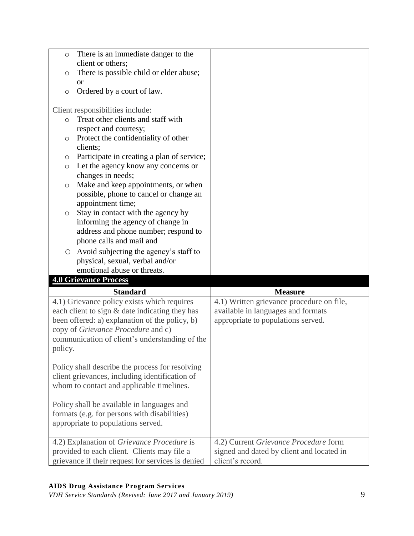| There is an immediate danger to the<br>$\circ$                                                   |                                                               |
|--------------------------------------------------------------------------------------------------|---------------------------------------------------------------|
| client or others;                                                                                |                                                               |
| There is possible child or elder abuse;<br>$\circ$                                               |                                                               |
| <sub>or</sub><br>Ordered by a court of law.<br>$\circ$                                           |                                                               |
| Client responsibilities include:                                                                 |                                                               |
| Treat other clients and staff with<br>$\circ$                                                    |                                                               |
| respect and courtesy;                                                                            |                                                               |
| Protect the confidentiality of other<br>$\circ$<br>clients;                                      |                                                               |
| Participate in creating a plan of service;<br>O                                                  |                                                               |
| Let the agency know any concerns or<br>$\circ$                                                   |                                                               |
| changes in needs;                                                                                |                                                               |
| Make and keep appointments, or when<br>O                                                         |                                                               |
| possible, phone to cancel or change an                                                           |                                                               |
| appointment time;<br>Stay in contact with the agency by<br>O                                     |                                                               |
| informing the agency of change in                                                                |                                                               |
| address and phone number; respond to                                                             |                                                               |
| phone calls and mail and                                                                         |                                                               |
| Avoid subjecting the agency's staff to<br>$\circ$                                                |                                                               |
| physical, sexual, verbal and/or                                                                  |                                                               |
|                                                                                                  |                                                               |
| emotional abuse or threats.                                                                      |                                                               |
| <b>4.0 Grievance Process</b>                                                                     |                                                               |
| <b>Standard</b>                                                                                  | <b>Measure</b>                                                |
| 4.1) Grievance policy exists which requires                                                      | 4.1) Written grievance procedure on file,                     |
| each client to sign & date indicating they has                                                   | available in languages and formats                            |
| been offered: a) explanation of the policy, b)                                                   | appropriate to populations served.                            |
| copy of Grievance Procedure and c)                                                               |                                                               |
| communication of client's understanding of the                                                   |                                                               |
| policy.                                                                                          |                                                               |
| Policy shall describe the process for resolving                                                  |                                                               |
| client grievances, including identification of                                                   |                                                               |
| whom to contact and applicable timelines.                                                        |                                                               |
|                                                                                                  |                                                               |
| Policy shall be available in languages and                                                       |                                                               |
| formats (e.g. for persons with disabilities)<br>appropriate to populations served.               |                                                               |
|                                                                                                  |                                                               |
| 4.2) Explanation of Grievance Procedure is                                                       | 4.2) Current Grievance Procedure form                         |
| provided to each client. Clients may file a<br>grievance if their request for services is denied | signed and dated by client and located in<br>client's record. |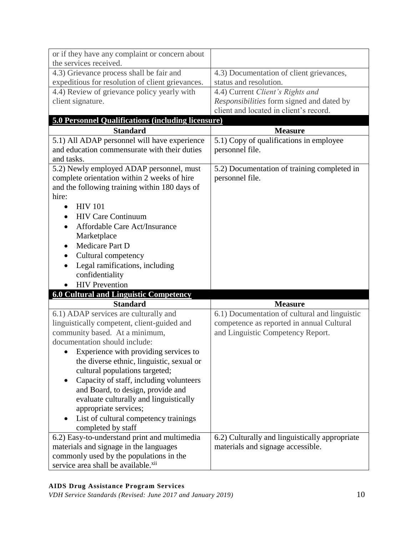| or if they have any complaint or concern about<br>the services received.           |                                                |
|------------------------------------------------------------------------------------|------------------------------------------------|
| 4.3) Grievance process shall be fair and                                           | 4.3) Documentation of client grievances,       |
| expeditious for resolution of client grievances.                                   | status and resolution.                         |
| 4.4) Review of grievance policy yearly with                                        | 4.4) Current Client's Rights and               |
| client signature.                                                                  | Responsibilities form signed and dated by      |
|                                                                                    | client and located in client's record.         |
| <b>5.0 Personnel Qualifications (including licensure)</b>                          |                                                |
| <b>Standard</b>                                                                    | <b>Measure</b>                                 |
| 5.1) All ADAP personnel will have experience                                       | 5.1) Copy of qualifications in employee        |
| and education commensurate with their duties                                       | personnel file.                                |
| and tasks.                                                                         |                                                |
| 5.2) Newly employed ADAP personnel, must                                           | 5.2) Documentation of training completed in    |
| complete orientation within 2 weeks of hire                                        | personnel file.                                |
| and the following training within 180 days of                                      |                                                |
| hire:                                                                              |                                                |
| <b>HIV 101</b>                                                                     |                                                |
| <b>HIV Care Continuum</b>                                                          |                                                |
| Affordable Care Act/Insurance                                                      |                                                |
| Marketplace                                                                        |                                                |
| Medicare Part D                                                                    |                                                |
| Cultural competency                                                                |                                                |
| Legal ramifications, including<br>$\bullet$                                        |                                                |
| confidentiality                                                                    |                                                |
| <b>HIV</b> Prevention<br>$\bullet$                                                 |                                                |
| <b>6.0 Cultural and Linguistic Competency</b>                                      |                                                |
| <b>Standard</b>                                                                    | <b>Measure</b>                                 |
| 6.1) ADAP services are culturally and                                              |                                                |
|                                                                                    |                                                |
|                                                                                    | 6.1) Documentation of cultural and linguistic  |
| linguistically competent, client-guided and<br>community based. At a minimum,      | competence as reported in annual Cultural      |
| documentation should include:                                                      | and Linguistic Competency Report.              |
|                                                                                    |                                                |
| Experience with providing services to<br>the diverse ethnic, linguistic, sexual or |                                                |
| cultural populations targeted;                                                     |                                                |
| $\bullet$                                                                          |                                                |
| Capacity of staff, including volunteers<br>and Board, to design, provide and       |                                                |
| evaluate culturally and linguistically                                             |                                                |
| appropriate services;                                                              |                                                |
| List of cultural competency trainings                                              |                                                |
| completed by staff                                                                 |                                                |
| 6.2) Easy-to-understand print and multimedia                                       | 6.2) Culturally and linguistically appropriate |
| materials and signage in the languages                                             | materials and signage accessible.              |
| commonly used by the populations in the                                            |                                                |

## **AIDS Drug Assistance Program Services**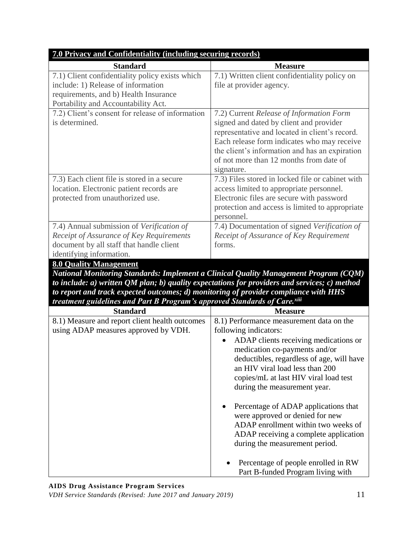| 7.0 Privacy and Confidentiality (including securing records)                                                                                                                                                                                                                                                                                                                                         |                                                                                                                                                                                                                                                                                                                                                                                                                                                                                                   |  |
|------------------------------------------------------------------------------------------------------------------------------------------------------------------------------------------------------------------------------------------------------------------------------------------------------------------------------------------------------------------------------------------------------|---------------------------------------------------------------------------------------------------------------------------------------------------------------------------------------------------------------------------------------------------------------------------------------------------------------------------------------------------------------------------------------------------------------------------------------------------------------------------------------------------|--|
| <b>Standard</b>                                                                                                                                                                                                                                                                                                                                                                                      | <b>Measure</b>                                                                                                                                                                                                                                                                                                                                                                                                                                                                                    |  |
| 7.1) Client confidentiality policy exists which                                                                                                                                                                                                                                                                                                                                                      | 7.1) Written client confidentiality policy on                                                                                                                                                                                                                                                                                                                                                                                                                                                     |  |
| include: 1) Release of information                                                                                                                                                                                                                                                                                                                                                                   | file at provider agency.                                                                                                                                                                                                                                                                                                                                                                                                                                                                          |  |
| requirements, and b) Health Insurance                                                                                                                                                                                                                                                                                                                                                                |                                                                                                                                                                                                                                                                                                                                                                                                                                                                                                   |  |
| Portability and Accountability Act.                                                                                                                                                                                                                                                                                                                                                                  |                                                                                                                                                                                                                                                                                                                                                                                                                                                                                                   |  |
| 7.2) Client's consent for release of information<br>is determined.                                                                                                                                                                                                                                                                                                                                   | 7.2) Current Release of Information Form<br>signed and dated by client and provider<br>representative and located in client's record.<br>Each release form indicates who may receive<br>the client's information and has an expiration<br>of not more than 12 months from date of<br>signature.                                                                                                                                                                                                   |  |
| 7.3) Each client file is stored in a secure                                                                                                                                                                                                                                                                                                                                                          | 7.3) Files stored in locked file or cabinet with                                                                                                                                                                                                                                                                                                                                                                                                                                                  |  |
| location. Electronic patient records are                                                                                                                                                                                                                                                                                                                                                             | access limited to appropriate personnel.                                                                                                                                                                                                                                                                                                                                                                                                                                                          |  |
| protected from unauthorized use.                                                                                                                                                                                                                                                                                                                                                                     | Electronic files are secure with password                                                                                                                                                                                                                                                                                                                                                                                                                                                         |  |
|                                                                                                                                                                                                                                                                                                                                                                                                      | protection and access is limited to appropriate<br>personnel.                                                                                                                                                                                                                                                                                                                                                                                                                                     |  |
| 7.4) Annual submission of Verification of                                                                                                                                                                                                                                                                                                                                                            | 7.4) Documentation of signed Verification of                                                                                                                                                                                                                                                                                                                                                                                                                                                      |  |
| Receipt of Assurance of Key Requirements                                                                                                                                                                                                                                                                                                                                                             | Receipt of Assurance of Key Requirement                                                                                                                                                                                                                                                                                                                                                                                                                                                           |  |
| document by all staff that handle client                                                                                                                                                                                                                                                                                                                                                             | forms.                                                                                                                                                                                                                                                                                                                                                                                                                                                                                            |  |
| identifying information.                                                                                                                                                                                                                                                                                                                                                                             |                                                                                                                                                                                                                                                                                                                                                                                                                                                                                                   |  |
| <b>8.0 Quality Management</b><br>National Monitoring Standards: Implement a Clinical Quality Management Program (CQM)<br>to include: $a$ ) written QM plan; $b$ ) quality expectations for providers and services; $c$ ) method<br>to report and track expected outcomes; d) monitoring of provider compliance with HHS<br>treatment guidelines and Part B Program's approved Standards of Care.xiii |                                                                                                                                                                                                                                                                                                                                                                                                                                                                                                   |  |
| <b>Standard</b>                                                                                                                                                                                                                                                                                                                                                                                      | <b>Measure</b>                                                                                                                                                                                                                                                                                                                                                                                                                                                                                    |  |
| 8.1) Measure and report client health outcomes<br>using ADAP measures approved by VDH.                                                                                                                                                                                                                                                                                                               | 8.1) Performance measurement data on the<br>following indicators:<br>ADAP clients receiving medications or<br>medication co-payments and/or<br>deductibles, regardless of age, will have<br>an HIV viral load less than 200<br>copies/mL at last HIV viral load test<br>during the measurement year.<br>Percentage of ADAP applications that<br>were approved or denied for new<br>ADAP enrollment within two weeks of<br>ADAP receiving a complete application<br>during the measurement period. |  |
|                                                                                                                                                                                                                                                                                                                                                                                                      | Percentage of people enrolled in RW<br>Part B-funded Program living with                                                                                                                                                                                                                                                                                                                                                                                                                          |  |